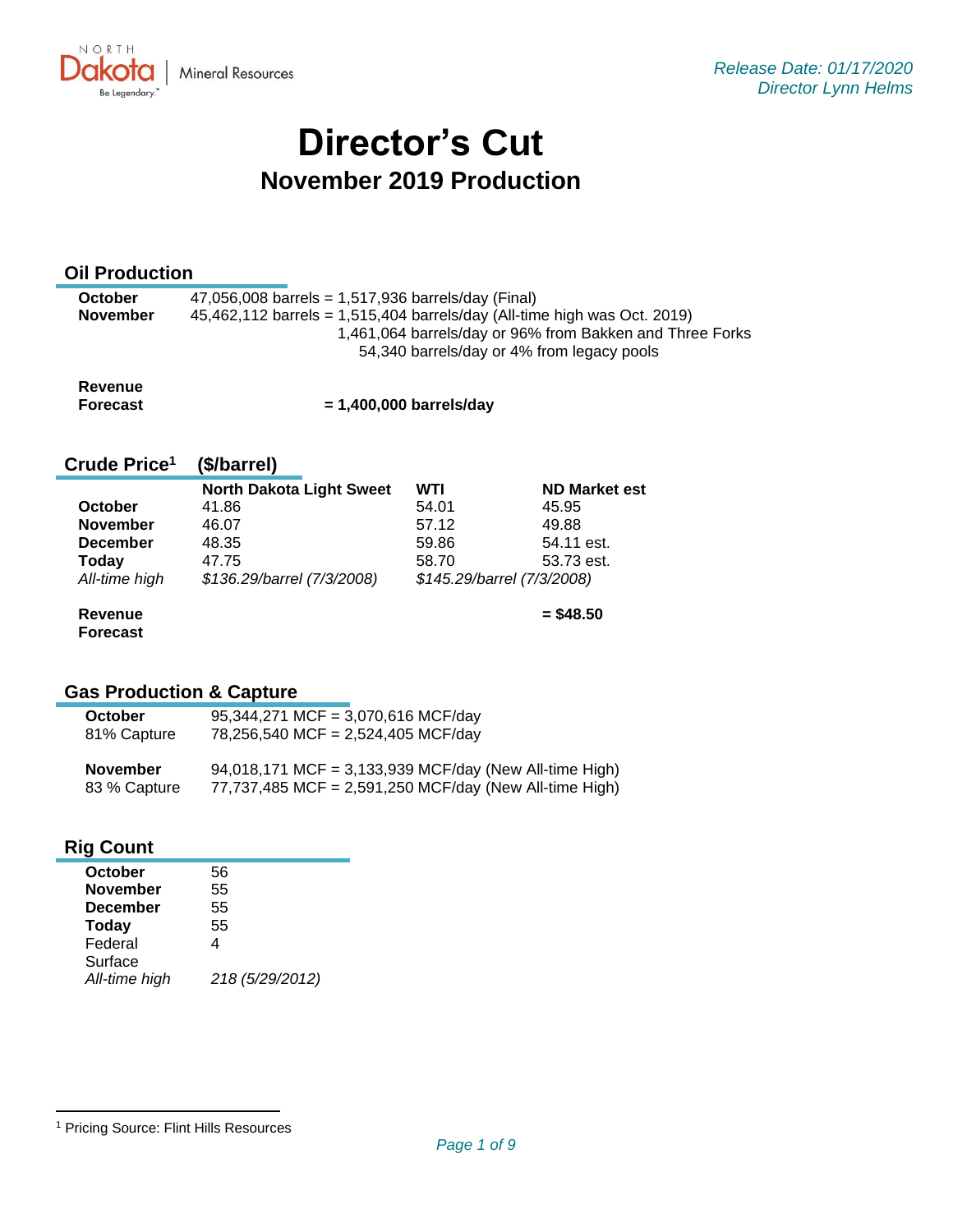

# **Director's Cut November 2019 Production**

### **Oil Production**

| <b>October</b><br><b>November</b> | 47,056,008 barrels = $1,517,936$ barrels/day (Final)<br>45,462,112 barrels = 1,515,404 barrels/day (All-time high was Oct. 2019) |
|-----------------------------------|----------------------------------------------------------------------------------------------------------------------------------|
|                                   | 1,461,064 barrels/day or 96% from Bakken and Three Forks                                                                         |
|                                   | 54,340 barrels/day or 4% from legacy pools                                                                                       |

| Revenue  |                           |
|----------|---------------------------|
| Forecast | $= 1,400,000$ barrels/day |

#### **Crude Price 1 (\$/barrel)**

|                 | <b>North Dakota Light Sweet</b> | WTI   | <b>ND Market est</b>       |
|-----------------|---------------------------------|-------|----------------------------|
| <b>October</b>  | 41.86                           | 54.01 | 45.95                      |
| <b>November</b> | 46.07                           | 57.12 | 49.88                      |
| <b>December</b> | 48.35                           | 59.86 | 54.11 est.                 |
| Today           | 47.75                           | 58.70 | 53.73 est.                 |
| All-time high   | \$136.29/barrel (7/3/2008)      |       | \$145.29/barrel (7/3/2008) |
|                 |                                 |       |                            |

**Revenue Forecast** **= \$48.50**

# **Gas Production & Capture**

| <b>October</b>  | 95,344,271 MCF = 3,070,616 MCF/day                     |
|-----------------|--------------------------------------------------------|
| 81% Capture     | 78,256,540 MCF = 2,524,405 MCF/day                     |
| <b>November</b> | 94,018,171 MCF = 3,133,939 MCF/day (New All-time High) |
| 83 % Capture    | 77,737,485 MCF = 2,591,250 MCF/day (New All-time High) |

# **Rig Count**

| October         | 56              |
|-----------------|-----------------|
| <b>November</b> | 55              |
| <b>December</b> | 55              |
| <b>Today</b>    | 55              |
| Federal         | 4               |
| Surface         |                 |
| All-time high   | 218 (5/29/2012) |

<sup>1</sup> Pricing Source: Flint Hills Resources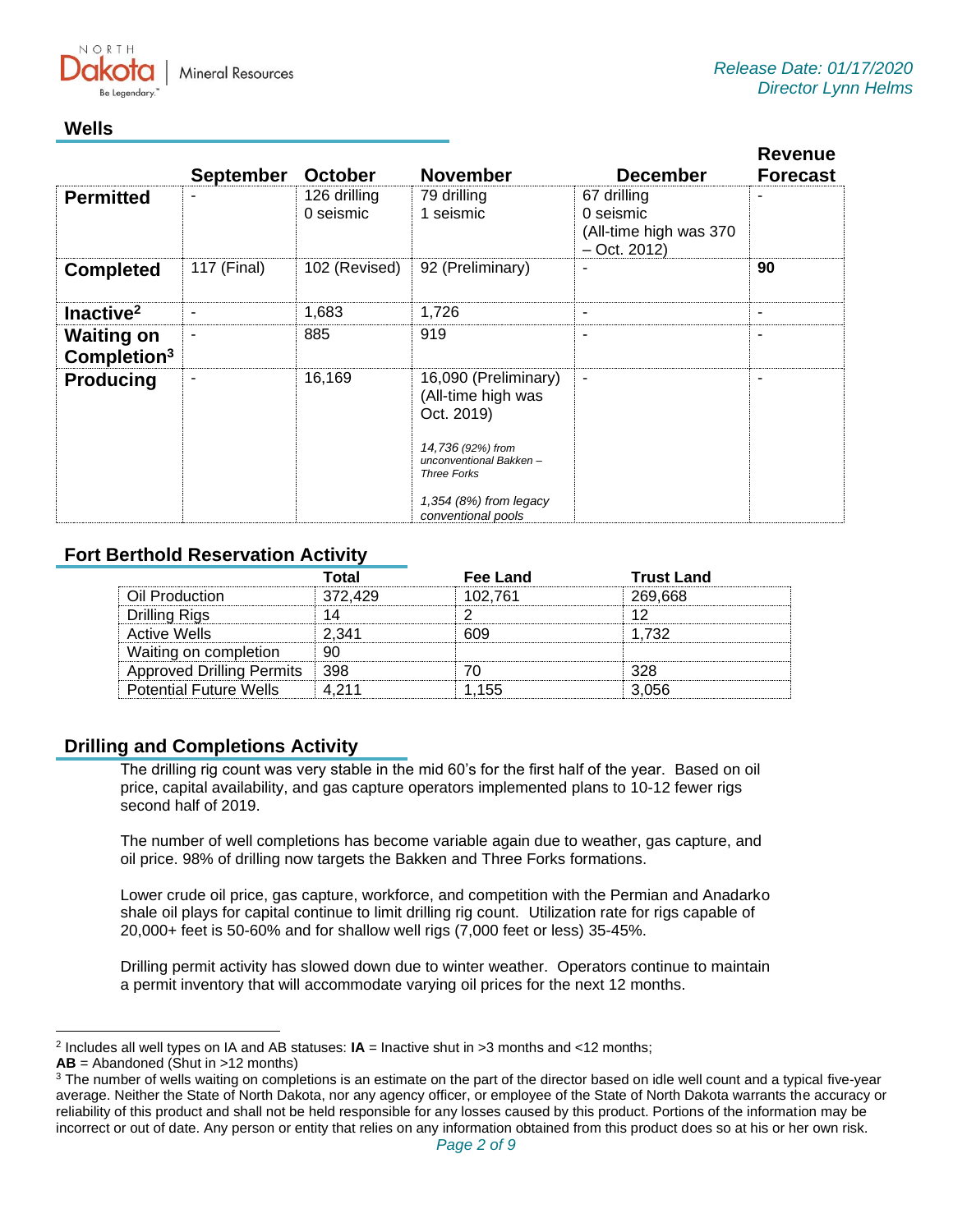

# **Wells**

|                                              | <b>September</b> | <b>October</b>            | <b>November</b>                                                                                                                                                                 | <b>December</b>                                                       | <b>Revenue</b><br><b>Forecast</b> |
|----------------------------------------------|------------------|---------------------------|---------------------------------------------------------------------------------------------------------------------------------------------------------------------------------|-----------------------------------------------------------------------|-----------------------------------|
| <b>Permitted</b>                             |                  | 126 drilling<br>0 seismic | 79 drilling<br>1 seismic                                                                                                                                                        | 67 drilling<br>0 seismic<br>(All-time high was 370)<br>$-$ Oct. 2012) |                                   |
| <b>Completed</b>                             | 117 (Final)      | 102 (Revised)             | 92 (Preliminary)                                                                                                                                                                |                                                                       | 90                                |
| Inactive <sup>2</sup>                        | ۰                | 1,683                     | 1,726                                                                                                                                                                           | ۰                                                                     | $\overline{\phantom{a}}$          |
| <b>Waiting on</b><br>Completion <sup>3</sup> |                  | 885                       | 919                                                                                                                                                                             | $\qquad \qquad$                                                       |                                   |
| <b>Producing</b>                             |                  | 16,169                    | 16,090 (Preliminary)<br>(All-time high was<br>Oct. 2019)<br>14,736 (92%) from<br>unconventional Bakken-<br><b>Three Forks</b><br>1,354 $(8%)$ from legacy<br>conventional pools | $\blacksquare$                                                        |                                   |

# **Fort Berthold Reservation Activity**

|                                  | Total   | Fee Land | <b>Trust Land</b> |
|----------------------------------|---------|----------|-------------------|
| Oil Production                   | 372.429 | 102.761  | 269.668           |
| <b>Drilling Rigs</b>             |         |          |                   |
| <b>Active Wells</b>              | 2.341   | 609      | 1.732             |
| Waiting on completion            | 90      |          |                   |
| <b>Approved Drilling Permits</b> | ⊟ 398   |          | 328               |
| <b>Potential Future Wells</b>    | 4 211   | 1.155    | 3.056             |

# **Drilling and Completions Activity**

The drilling rig count was very stable in the mid 60's for the first half of the year. Based on oil price, capital availability, and gas capture operators implemented plans to 10-12 fewer rigs second half of 2019.

The number of well completions has become variable again due to weather, gas capture, and oil price. 98% of drilling now targets the Bakken and Three Forks formations.

Lower crude oil price, gas capture, workforce, and competition with the Permian and Anadarko shale oil plays for capital continue to limit drilling rig count. Utilization rate for rigs capable of 20,000+ feet is 50-60% and for shallow well rigs (7,000 feet or less) 35-45%.

Drilling permit activity has slowed down due to winter weather. Operators continue to maintain a permit inventory that will accommodate varying oil prices for the next 12 months.

<sup>2</sup> Includes all well types on IA and AB statuses: **IA** = Inactive shut in >3 months and <12 months;

**AB** = Abandoned (Shut in >12 months)

<sup>&</sup>lt;sup>3</sup> The number of wells waiting on completions is an estimate on the part of the director based on idle well count and a typical five-year average. Neither the State of North Dakota, nor any agency officer, or employee of the State of North Dakota warrants the accuracy or reliability of this product and shall not be held responsible for any losses caused by this product. Portions of the information may be incorrect or out of date. Any person or entity that relies on any information obtained from this product does so at his or her own risk.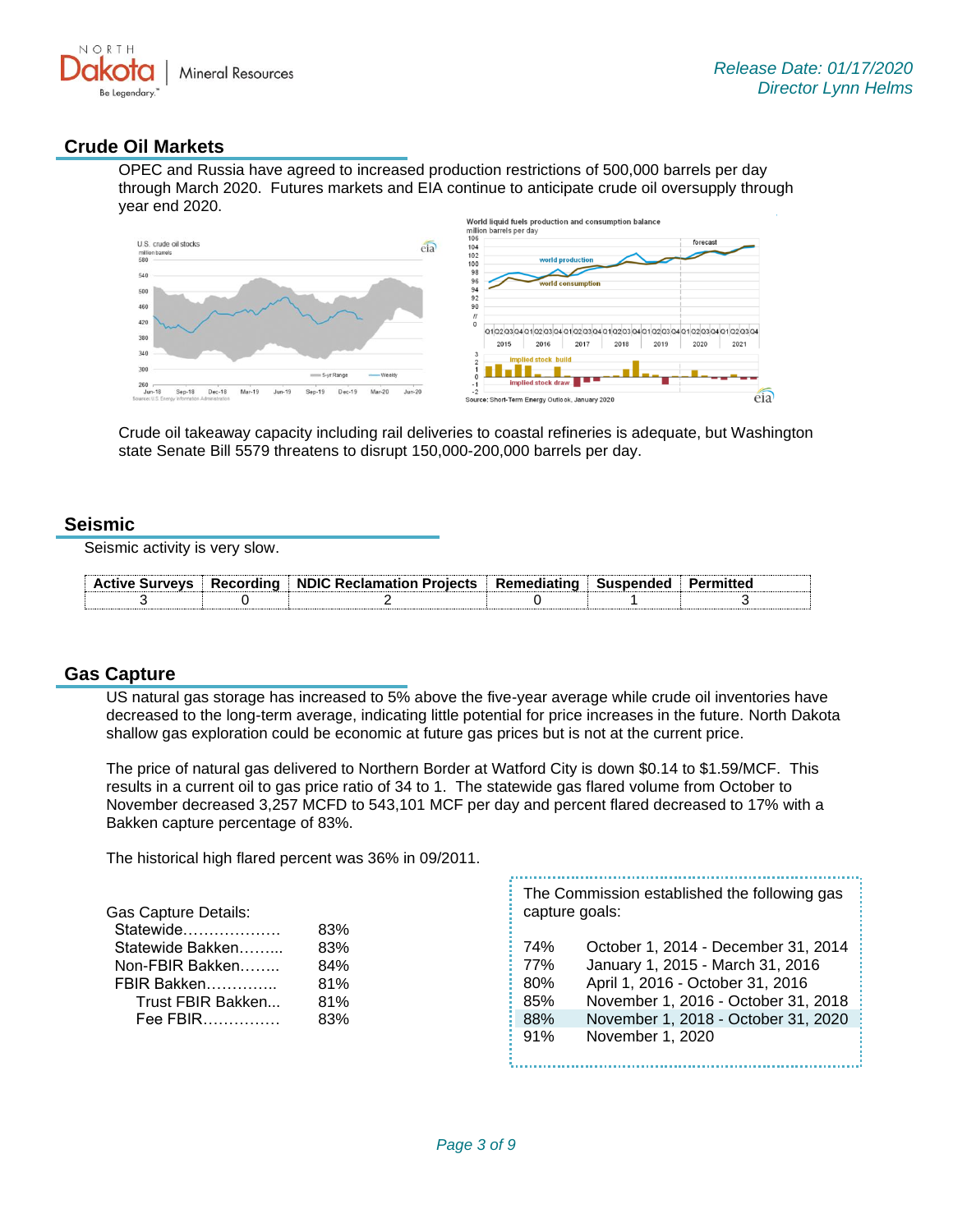

### **Crude Oil Markets**

OPEC and Russia have agreed to increased production restrictions of 500,000 barrels per day through March 2020. Futures markets and EIA continue to anticipate crude oil oversupply through year end 2020.



Crude oil takeaway capacity including rail deliveries to coastal refineries is adequate, but Washington state Senate Bill 5579 threatens to disrupt 150,000-200,000 barrels per day.

#### **Seismic**

Seismic activity is very slow.

|  | Active Surveys   Recording   NDIC Reclamation Projects   Remediating   Suspended |  | Permitten |
|--|----------------------------------------------------------------------------------|--|-----------|
|  |                                                                                  |  |           |

#### **Gas Capture**

US natural gas storage has increased to 5% above the five-year average while crude oil inventories have decreased to the long-term average, indicating little potential for price increases in the future. North Dakota shallow gas exploration could be economic at future gas prices but is not at the current price.

The price of natural gas delivered to Northern Border at Watford City is down \$0.14 to \$1.59/MCF. This results in a current oil to gas price ratio of 34 to 1. The statewide gas flared volume from October to November decreased 3,257 MCFD to 543,101 MCF per day and percent flared decreased to 17% with a Bakken capture percentage of 83%.

The historical high flared percent was 36% in 09/2011.

| <b>Gas Capture Details:</b> |     | The Commission established the following gas<br>capture goals: |                                     |  |
|-----------------------------|-----|----------------------------------------------------------------|-------------------------------------|--|
| Statewide                   | 83% |                                                                |                                     |  |
| Statewide Bakken            | 83% | 74%                                                            | October 1, 2014 - December 31, 2014 |  |
| Non-FBIR Bakken             | 84% | 77%                                                            | January 1, 2015 - March 31, 2016    |  |
| FBIR Bakken                 | 81% | 80%                                                            | April 1, 2016 - October 31, 2016    |  |
| Trust FBIR Bakken           | 81% | 85%                                                            | November 1, 2016 - October 31, 2018 |  |
| Fee FBIR                    | 83% | 88%                                                            | November 1, 2018 - October 31, 2020 |  |
|                             |     | 91%                                                            | November 1, 2020                    |  |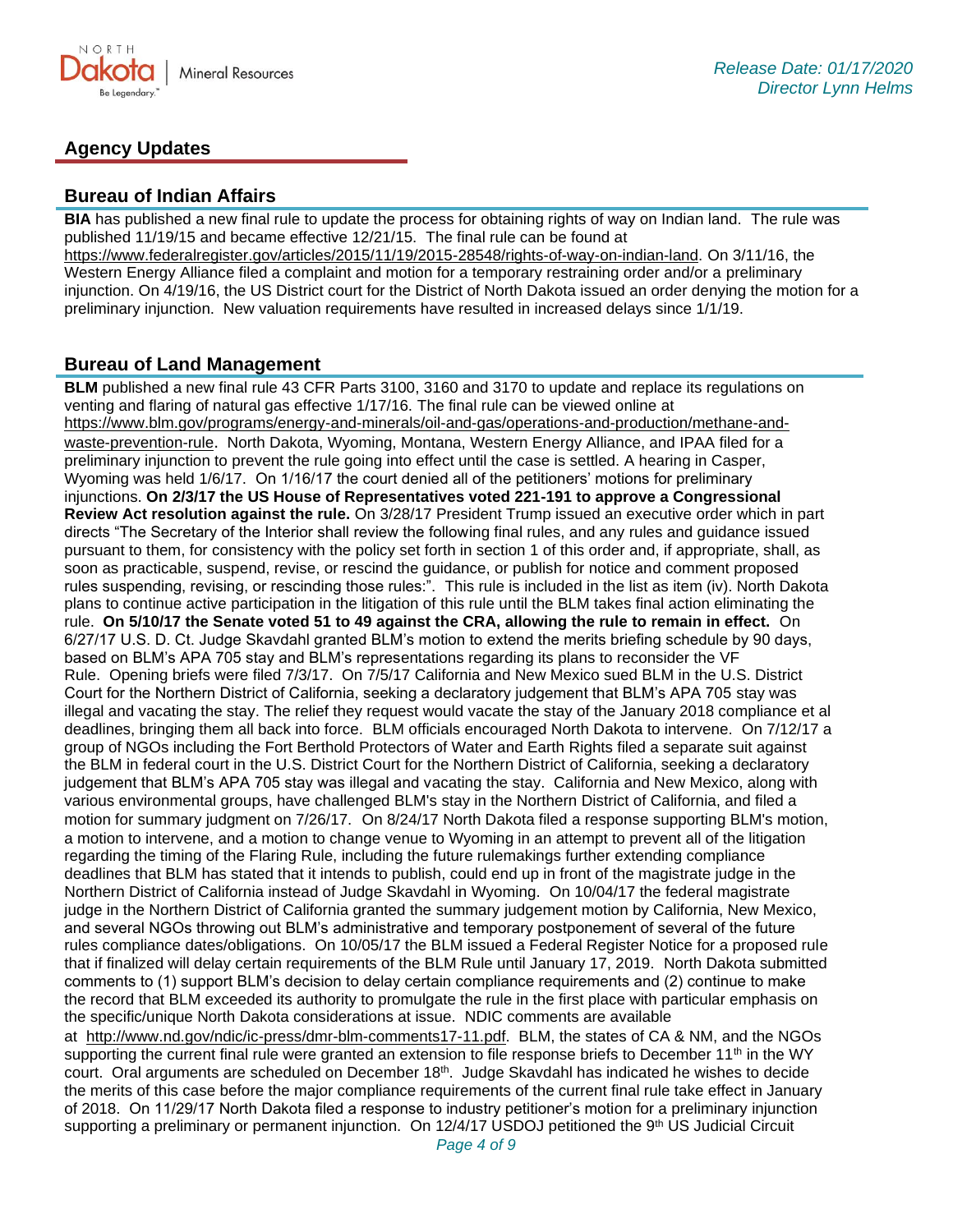

# **Agency Updates**

#### **Bureau of Indian Affairs**

**BIA** has published a new final rule to update the process for obtaining rights of way on Indian land. The rule was published 11/19/15 and became effective 12/21/15. The final rule can be found at [https://www.federalregister.gov/articles/2015/11/19/2015-28548/rights-of-way-on-indian-land.](https://www.federalregister.gov/articles/2015/11/19/2015-28548/rights-of-way-on-indian-land) On 3/11/16, the Western Energy Alliance filed a complaint and motion for a temporary restraining order and/or a preliminary injunction. On 4/19/16, the US District court for the District of North Dakota issued an order denying the motion for a preliminary injunction. New valuation requirements have resulted in increased delays since 1/1/19.

#### **Bureau of Land Management**

**BLM** published a new final rule 43 CFR Parts 3100, 3160 and 3170 to update and replace its regulations on venting and flaring of natural gas effective 1/17/16. The final rule can be viewed online at [https://www.blm.gov/programs/energy-and-minerals/oil-and-gas/operations-and-production/methane-and](https://www.blm.gov/programs/energy-and-minerals/oil-and-gas/operations-and-production/methane-and-waste-prevention-rule)[waste-prevention-rule](https://www.blm.gov/programs/energy-and-minerals/oil-and-gas/operations-and-production/methane-and-waste-prevention-rule). North Dakota, Wyoming, Montana, Western Energy Alliance, and IPAA filed for a preliminary injunction to prevent the rule going into effect until the case is settled. A hearing in Casper, Wyoming was held 1/6/17. On 1/16/17 the court denied all of the petitioners' motions for preliminary injunctions. **On 2/3/17 the US House of Representatives voted 221-191 to approve a Congressional Review Act resolution against the rule.** On 3/28/17 President Trump issued an executive order which in part directs "The Secretary of the Interior shall review the following final rules, and any rules and guidance issued pursuant to them, for consistency with the policy set forth in section 1 of this order and, if appropriate, shall, as soon as practicable, suspend, revise, or rescind the guidance, or publish for notice and comment proposed rules suspending, revising, or rescinding those rules:". This rule is included in the list as item (iv). North Dakota plans to continue active participation in the litigation of this rule until the BLM takes final action eliminating the rule. **On 5/10/17 the Senate voted 51 to 49 against the CRA, allowing the rule to remain in effect.** On 6/27/17 U.S. D. Ct. Judge Skavdahl granted BLM's motion to extend the merits briefing schedule by 90 days, based on BLM's APA 705 stay and BLM's representations regarding its plans to reconsider the VF Rule. Opening briefs were filed 7/3/17. On 7/5/17 California and New Mexico sued BLM in the U.S. District Court for the Northern District of California, seeking a declaratory judgement that BLM's APA 705 stay was illegal and vacating the stay. The relief they request would vacate the stay of the January 2018 compliance et al deadlines, bringing them all back into force. BLM officials encouraged North Dakota to intervene. On 7/12/17 a group of NGOs including the Fort Berthold Protectors of Water and Earth Rights filed a separate suit against the BLM in federal court in the U.S. District Court for the Northern District of California, seeking a declaratory judgement that BLM's APA 705 stay was illegal and vacating the stay. California and New Mexico, along with various environmental groups, have challenged BLM's stay in the Northern District of California, and filed a motion for summary judgment on 7/26/17. On 8/24/17 North Dakota filed a response supporting BLM's motion, a motion to intervene, and a motion to change venue to Wyoming in an attempt to prevent all of the litigation regarding the timing of the Flaring Rule, including the future rulemakings further extending compliance deadlines that BLM has stated that it intends to publish, could end up in front of the magistrate judge in the Northern District of California instead of Judge Skavdahl in Wyoming. On 10/04/17 the federal magistrate judge in the Northern District of California granted the summary judgement motion by California, New Mexico, and several NGOs throwing out BLM's administrative and temporary postponement of several of the future rules compliance dates/obligations. On 10/05/17 the BLM issued a Federal Register Notice for a proposed rule that if finalized will delay certain requirements of the BLM Rule until January 17, 2019. North Dakota submitted comments to (1) support BLM's decision to delay certain compliance requirements and (2) continue to make the record that BLM exceeded its authority to promulgate the rule in the first place with particular emphasis on the specific/unique North Dakota considerations at issue. NDIC comments are available at [http://www.nd.gov/ndic/ic-press/dmr-blm-comments17-11.pdf.](http://www.nd.gov/ndic/ic-press/dmr-blm-comments17-11.pdf) BLM, the states of CA & NM, and the NGOs supporting the current final rule were granted an extension to file response briefs to December 11<sup>th</sup> in the WY court. Oral arguments are scheduled on December 18<sup>th</sup>. Judge Skavdahl has indicated he wishes to decide the merits of this case before the major compliance requirements of the current final rule take effect in January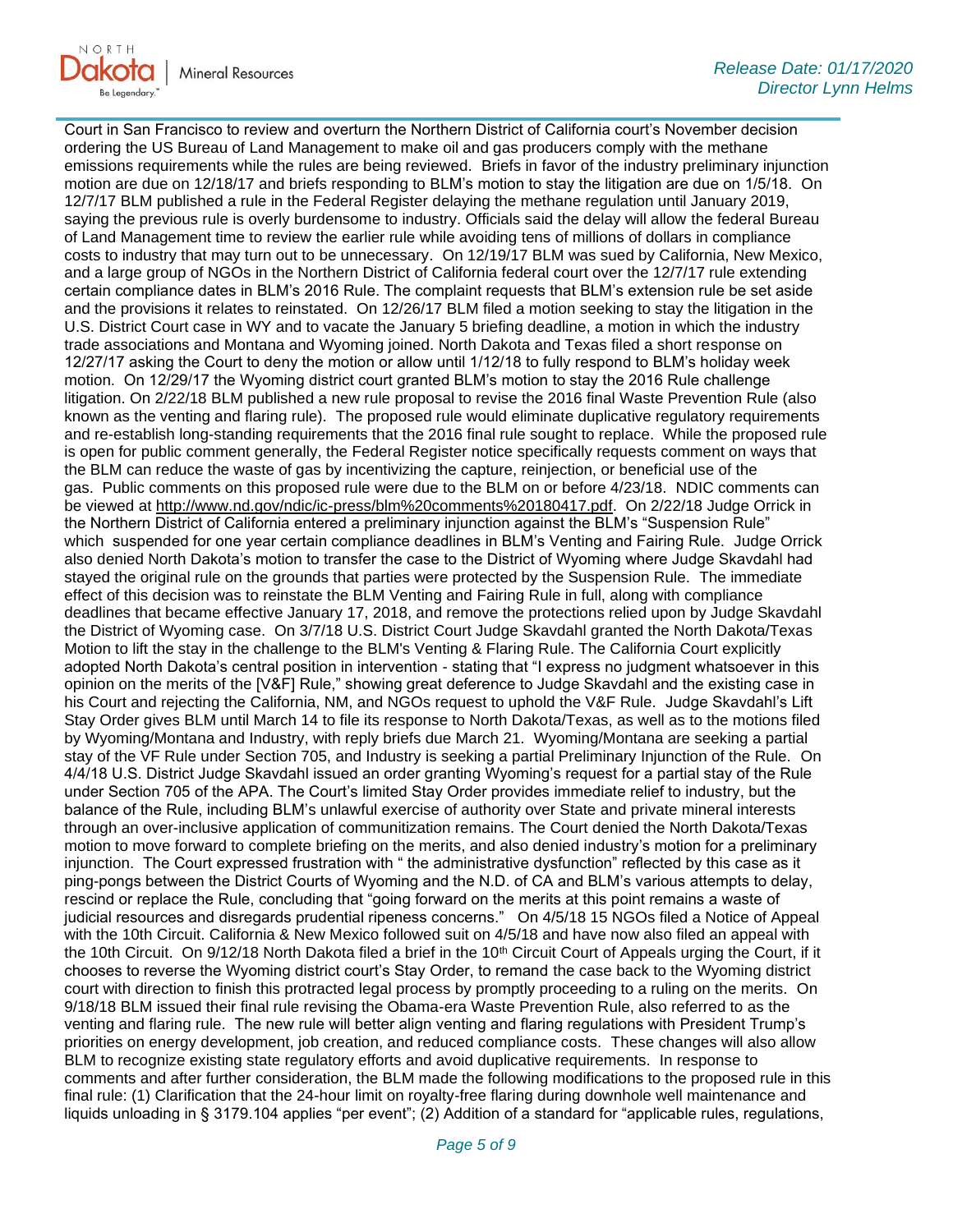

Court in San Francisco to review and overturn the Northern District of California court's November decision ordering the US Bureau of Land Management to make oil and gas producers comply with the methane emissions requirements while the rules are being reviewed. Briefs in favor of the industry preliminary injunction motion are due on 12/18/17 and briefs responding to BLM's motion to stay the litigation are due on 1/5/18. On 12/7/17 BLM published a rule in the Federal Register delaying the methane regulation until January 2019, saying the previous rule is overly burdensome to industry. Officials said the delay will allow the federal Bureau of Land Management time to review the earlier rule while avoiding tens of millions of dollars in compliance costs to industry that may turn out to be unnecessary. On 12/19/17 BLM was sued by California, New Mexico, and a large group of NGOs in the Northern District of California federal court over the 12/7/17 rule extending certain compliance dates in BLM's 2016 Rule. The complaint requests that BLM's extension rule be set aside and the provisions it relates to reinstated. On 12/26/17 BLM filed a motion seeking to stay the litigation in the U.S. District Court case in WY and to vacate the January 5 briefing deadline, a motion in which the industry trade associations and Montana and Wyoming joined. North Dakota and Texas filed a short response on 12/27/17 asking the Court to deny the motion or allow until 1/12/18 to fully respond to BLM's holiday week motion. On 12/29/17 the Wyoming district court granted BLM's motion to stay the 2016 Rule challenge litigation. On 2/22/18 BLM published a new rule proposal to revise the 2016 final Waste Prevention Rule (also known as the venting and flaring rule). The proposed rule would eliminate duplicative regulatory requirements and re-establish long-standing requirements that the 2016 final rule sought to replace. While the proposed rule is open for public comment generally, the Federal Register notice specifically requests comment on ways that the BLM can reduce the waste of gas by incentivizing the capture, reinjection, or beneficial use of the gas. Public comments on this proposed rule were due to the BLM on or before 4/23/18. NDIC comments can be viewed at [http://www.nd.gov/ndic/ic-press/blm%20comments%20180417.pdf.](http://www.nd.gov/ndic/ic-press/blm%20comments%20180417.pdf) On 2/22/18 Judge Orrick in the Northern District of California entered a preliminary injunction against the BLM's "Suspension Rule" which suspended for one year certain compliance deadlines in BLM's Venting and Fairing Rule. Judge Orrick also denied North Dakota's motion to transfer the case to the District of Wyoming where Judge Skavdahl had stayed the original rule on the grounds that parties were protected by the Suspension Rule. The immediate effect of this decision was to reinstate the BLM Venting and Fairing Rule in full, along with compliance deadlines that became effective January 17, 2018, and remove the protections relied upon by Judge Skavdahl the District of Wyoming case. On 3/7/18 U.S. District Court Judge Skavdahl granted the North Dakota/Texas Motion to lift the stay in the challenge to the BLM's Venting & Flaring Rule. The California Court explicitly adopted North Dakota's central position in intervention - stating that "I express no judgment whatsoever in this opinion on the merits of the [V&F] Rule," showing great deference to Judge Skavdahl and the existing case in his Court and rejecting the California, NM, and NGOs request to uphold the V&F Rule. Judge Skavdahl's Lift Stay Order gives BLM until March 14 to file its response to North Dakota/Texas, as well as to the motions filed by Wyoming/Montana and Industry, with reply briefs due March 21. Wyoming/Montana are seeking a partial stay of the VF Rule under Section 705, and Industry is seeking a partial Preliminary Injunction of the Rule. On 4/4/18 U.S. District Judge Skavdahl issued an order granting Wyoming's request for a partial stay of the Rule under Section 705 of the APA. The Court's limited Stay Order provides immediate relief to industry, but the balance of the Rule, including BLM's unlawful exercise of authority over State and private mineral interests through an over-inclusive application of communitization remains. The Court denied the North Dakota/Texas motion to move forward to complete briefing on the merits, and also denied industry's motion for a preliminary injunction. The Court expressed frustration with " the administrative dysfunction" reflected by this case as it ping-pongs between the District Courts of Wyoming and the N.D. of CA and BLM's various attempts to delay, rescind or replace the Rule, concluding that "going forward on the merits at this point remains a waste of judicial resources and disregards prudential ripeness concerns." On 4/5/18 15 NGOs filed a Notice of Appeal with the 10th Circuit. California & New Mexico followed suit on 4/5/18 and have now also filed an appeal with the 10th Circuit. On  $9/12/18$  North Dakota filed a brief in the 10<sup>th</sup> Circuit Court of Appeals urging the Court, if it chooses to reverse the Wyoming district court's Stay Order, to remand the case back to the Wyoming district court with direction to finish this protracted legal process by promptly proceeding to a ruling on the merits. On 9/18/18 BLM issued their final rule revising the Obama-era Waste Prevention Rule, also referred to as the venting and flaring rule. The new rule will better align venting and flaring regulations with President Trump's priorities on energy development, job creation, and reduced compliance costs. These changes will also allow BLM to recognize existing state regulatory efforts and avoid duplicative requirements. In response to comments and after further consideration, the BLM made the following modifications to the proposed rule in this final rule: (1) Clarification that the 24-hour limit on royalty-free flaring during downhole well maintenance and liquids unloading in § 3179.104 applies "per event"; (2) Addition of a standard for "applicable rules, regulations,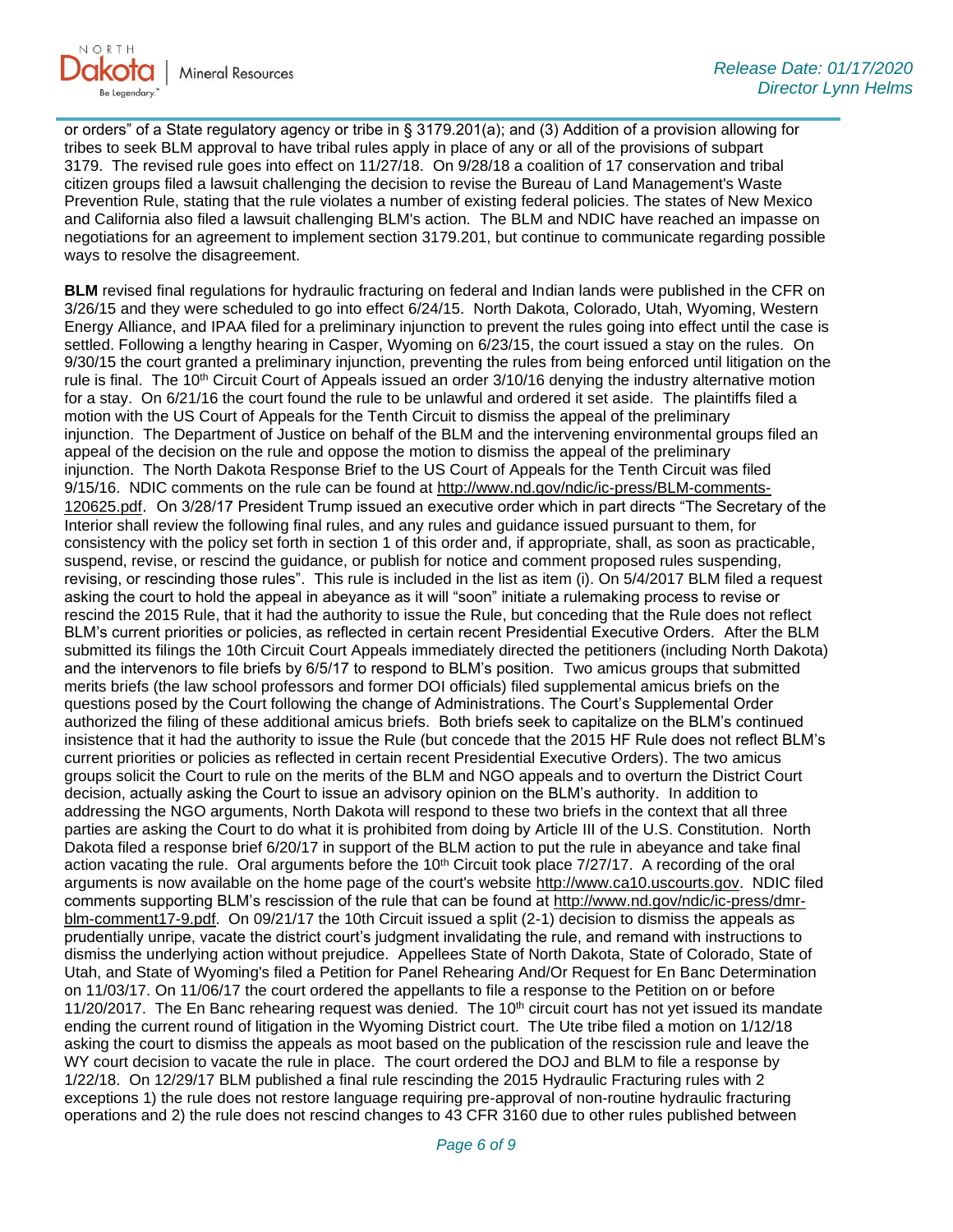

or orders" of a State regulatory agency or tribe in § 3179.201(a); and (3) Addition of a provision allowing for tribes to seek BLM approval to have tribal rules apply in place of any or all of the provisions of subpart 3179. The revised rule goes into effect on 11/27/18. On 9/28/18 a coalition of 17 conservation and tribal citizen groups filed a lawsuit challenging the decision to revise the Bureau of Land Management's Waste Prevention Rule, stating that the rule violates a number of existing federal policies. The states of New Mexico and California also filed a lawsuit challenging BLM's action. The BLM and NDIC have reached an impasse on negotiations for an agreement to implement section 3179.201, but continue to communicate regarding possible ways to resolve the disagreement.

**BLM** revised final regulations for hydraulic fracturing on federal and Indian lands were published in the CFR on 3/26/15 and they were scheduled to go into effect 6/24/15. North Dakota, Colorado, Utah, Wyoming, Western Energy Alliance, and IPAA filed for a preliminary injunction to prevent the rules going into effect until the case is settled. Following a lengthy hearing in Casper, Wyoming on 6/23/15, the court issued a stay on the rules. On 9/30/15 the court granted a preliminary injunction, preventing the rules from being enforced until litigation on the rule is final. The 10<sup>th</sup> Circuit Court of Appeals issued an order 3/10/16 denying the industry alternative motion for a stay. On 6/21/16 the court found the rule to be unlawful and ordered it set aside. The plaintiffs filed a motion with the US Court of Appeals for the Tenth Circuit to dismiss the appeal of the preliminary injunction. The Department of Justice on behalf of the BLM and the intervening environmental groups filed an appeal of the decision on the rule and oppose the motion to dismiss the appeal of the preliminary injunction. The North Dakota Response Brief to the US Court of Appeals for the Tenth Circuit was filed 9/15/16. NDIC comments on the rule can be found at [http://www.nd.gov/ndic/ic-press/BLM-comments-](http://www.nd.gov/ndic/ic-press/BLM-comments-120625.pdf)[120625.pdf](http://www.nd.gov/ndic/ic-press/BLM-comments-120625.pdf). On 3/28/17 President Trump issued an executive order which in part directs "The Secretary of the Interior shall review the following final rules, and any rules and guidance issued pursuant to them, for consistency with the policy set forth in section 1 of this order and, if appropriate, shall, as soon as practicable, suspend, revise, or rescind the guidance, or publish for notice and comment proposed rules suspending, revising, or rescinding those rules". This rule is included in the list as item (i). On 5/4/2017 BLM filed a request asking the court to hold the appeal in abeyance as it will "soon" initiate a rulemaking process to revise or rescind the 2015 Rule, that it had the authority to issue the Rule, but conceding that the Rule does not reflect BLM's current priorities or policies, as reflected in certain recent Presidential Executive Orders. After the BLM submitted its filings the 10th Circuit Court Appeals immediately directed the petitioners (including North Dakota) and the intervenors to file briefs by 6/5/17 to respond to BLM's position. Two amicus groups that submitted merits briefs (the law school professors and former DOI officials) filed supplemental amicus briefs on the questions posed by the Court following the change of Administrations. The Court's Supplemental Order authorized the filing of these additional amicus briefs. Both briefs seek to capitalize on the BLM's continued insistence that it had the authority to issue the Rule (but concede that the 2015 HF Rule does not reflect BLM's current priorities or policies as reflected in certain recent Presidential Executive Orders). The two amicus groups solicit the Court to rule on the merits of the BLM and NGO appeals and to overturn the District Court decision, actually asking the Court to issue an advisory opinion on the BLM's authority. In addition to addressing the NGO arguments, North Dakota will respond to these two briefs in the context that all three parties are asking the Court to do what it is prohibited from doing by Article III of the U.S. Constitution. North Dakota filed a response brief 6/20/17 in support of the BLM action to put the rule in abeyance and take final action vacating the rule. Oral arguments before the 10<sup>th</sup> Circuit took place 7/27/17. A recording of the oral arguments is now available on the home page of the court's website [http://www.ca10.uscourts.gov.](https://urldefense.proofpoint.com/v2/url?u=http-3A__www.ca10.uscourts.gov&d=DwMGaQ&c=2s2mvbfY0UoSKkl6_Ol9wg&r=-wqsZnBxny594KY8HeElow&m=Ul_VtJUX6iW5pvHjCcBxUWtskC0F4Dhry3sPtcEHvCw&s=laRHiLDv5w8otcQWQjpn82WMieoB2AZ-Q4M1LFQPL5s&e=) NDIC filed comments supporting BLM's rescission of the rule that can be found at [http://www.nd.gov/ndic/ic-press/dmr](http://www.nd.gov/ndic/ic-press/dmr-blm-comment17-9.pdf)[blm-comment17-9.pdf.](http://www.nd.gov/ndic/ic-press/dmr-blm-comment17-9.pdf) On 09/21/17 the 10th Circuit issued a split (2-1) decision to dismiss the appeals as prudentially unripe, vacate the district court's judgment invalidating the rule, and remand with instructions to dismiss the underlying action without prejudice. Appellees State of North Dakota, State of Colorado, State of Utah, and State of Wyoming's filed a Petition for Panel Rehearing And/Or Request for En Banc Determination on 11/03/17. On 11/06/17 the court ordered the appellants to file a response to the Petition on or before 11/20/2017. The En Banc rehearing request was denied. The  $10<sup>th</sup>$  circuit court has not yet issued its mandate ending the current round of litigation in the Wyoming District court. The Ute tribe filed a motion on 1/12/18 asking the court to dismiss the appeals as moot based on the publication of the rescission rule and leave the WY court decision to vacate the rule in place. The court ordered the DOJ and BLM to file a response by 1/22/18. On 12/29/17 BLM published a final rule rescinding the 2015 Hydraulic Fracturing rules with 2 exceptions 1) the rule does not restore language requiring pre-approval of non-routine hydraulic fracturing operations and 2) the rule does not rescind changes to 43 CFR 3160 due to other rules published between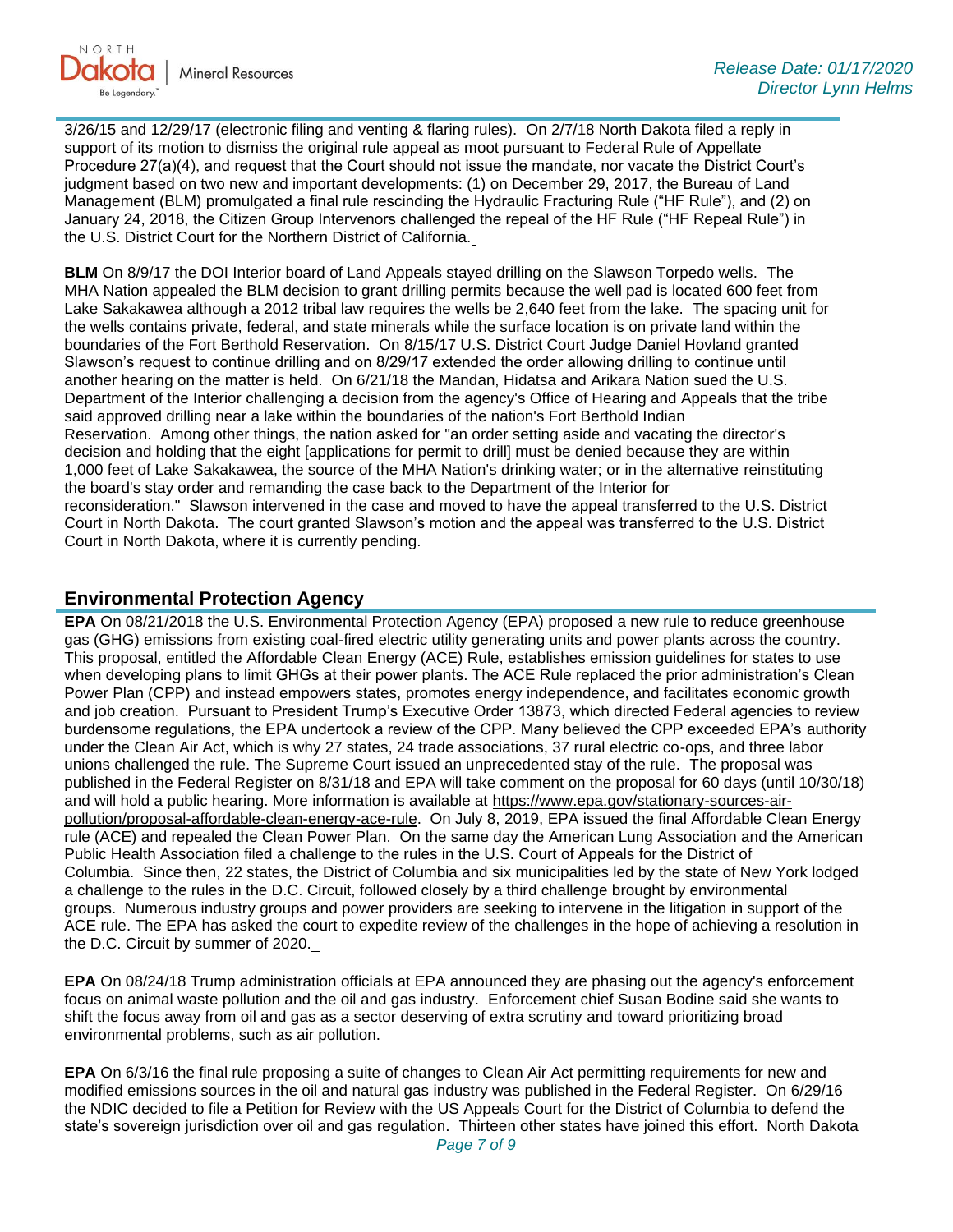

3/26/15 and 12/29/17 (electronic filing and venting & flaring rules). On 2/7/18 North Dakota filed a reply in support of its motion to dismiss the original rule appeal as moot pursuant to Federal Rule of Appellate Procedure 27(a)(4), and request that the Court should not issue the mandate, nor vacate the District Court's judgment based on two new and important developments: (1) on December 29, 2017, the Bureau of Land Management (BLM) promulgated a final rule rescinding the Hydraulic Fracturing Rule ("HF Rule"), and (2) on January 24, 2018, the Citizen Group Intervenors challenged the repeal of the HF Rule ("HF Repeal Rule") in the U.S. District Court for the Northern District of California.

**BLM** On 8/9/17 the DOI Interior board of Land Appeals stayed drilling on the Slawson Torpedo wells. The MHA Nation appealed the BLM decision to grant drilling permits because the well pad is located 600 feet from Lake Sakakawea although a 2012 tribal law requires the wells be 2,640 feet from the lake. The spacing unit for the wells contains private, federal, and state minerals while the surface location is on private land within the boundaries of the Fort Berthold Reservation. On 8/15/17 U.S. District Court Judge Daniel Hovland granted Slawson's request to continue drilling and on 8/29/17 extended the order allowing drilling to continue until another hearing on the matter is held. On 6/21/18 the Mandan, Hidatsa and Arikara Nation sued the U.S. Department of the Interior challenging a decision from the agency's Office of Hearing and Appeals that the tribe said approved drilling near a lake within the boundaries of the nation's Fort Berthold Indian Reservation. Among other things, the nation asked for "an order setting aside and vacating the director's decision and holding that the eight [applications for permit to drill] must be denied because they are within 1,000 feet of Lake Sakakawea, the source of the MHA Nation's drinking water; or in the alternative reinstituting the board's stay order and remanding the case back to the Department of the Interior for reconsideration." Slawson intervened in the case and moved to have the appeal transferred to the U.S. District Court in North Dakota. The court granted Slawson's motion and the appeal was transferred to the U.S. District Court in North Dakota, where it is currently pending.

#### **Environmental Protection Agency**

**EPA** On 08/21/2018 the U.S. Environmental Protection Agency (EPA) proposed a new rule to reduce greenhouse gas (GHG) emissions from existing coal-fired electric utility generating units and power plants across the country. This proposal, entitled the Affordable Clean Energy (ACE) Rule, establishes emission guidelines for states to use when developing plans to limit GHGs at their power plants. The ACE Rule replaced the prior administration's Clean Power Plan (CPP) and instead empowers states, promotes energy independence, and facilitates economic growth and job creation. Pursuant to President Trump's Executive Order 13873, which directed Federal agencies to review burdensome regulations, the EPA undertook a review of the CPP. Many believed the CPP exceeded EPA's authority under the Clean Air Act, which is why 27 states, 24 trade associations, 37 rural electric co-ops, and three labor unions challenged the rule. The Supreme Court issued an unprecedented stay of the rule. The proposal was published in the Federal Register on 8/31/18 and EPA will take comment on the proposal for 60 days (until 10/30/18) and will hold a public hearing. More information is available at [https://www.epa.gov/stationary-sources-air](https://www.epa.gov/stationary-sources-air-pollution/proposal-affordable-clean-energy-ace-rule)[pollution/proposal-affordable-clean-energy-ace-rule.](https://www.epa.gov/stationary-sources-air-pollution/proposal-affordable-clean-energy-ace-rule) On July 8, 2019, EPA issued the final Affordable Clean Energy rule (ACE) and repealed the Clean Power Plan. On the same day the American Lung Association and the American Public Health Association filed a challenge to the rules in the U.S. Court of Appeals for the District of Columbia. Since then, 22 states, the District of Columbia and six municipalities led by the state of New York lodged a challenge to the rules in the D.C. Circuit, followed closely by a third challenge brought by environmental groups. Numerous industry groups and power providers are seeking to intervene in the litigation in support of the ACE rule. The EPA has asked the court to expedite review of the challenges in the hope of achieving a resolution in the D.C. Circuit by summer of 2020.

**EPA** On 08/24/18 Trump administration officials at EPA announced they are phasing out the agency's enforcement focus on animal waste pollution and the oil and gas industry. Enforcement chief Susan Bodine said she wants to shift the focus away from oil and gas as a sector deserving of extra scrutiny and toward prioritizing broad environmental problems, such as air pollution.

**EPA** On 6/3/16 the final rule proposing a suite of changes to Clean Air Act permitting requirements for new and modified emissions sources in the oil and natural gas industry was published in the Federal Register. On 6/29/16 the NDIC decided to file a Petition for Review with the US Appeals Court for the District of Columbia to defend the state's sovereign jurisdiction over oil and gas regulation. Thirteen other states have joined this effort. North Dakota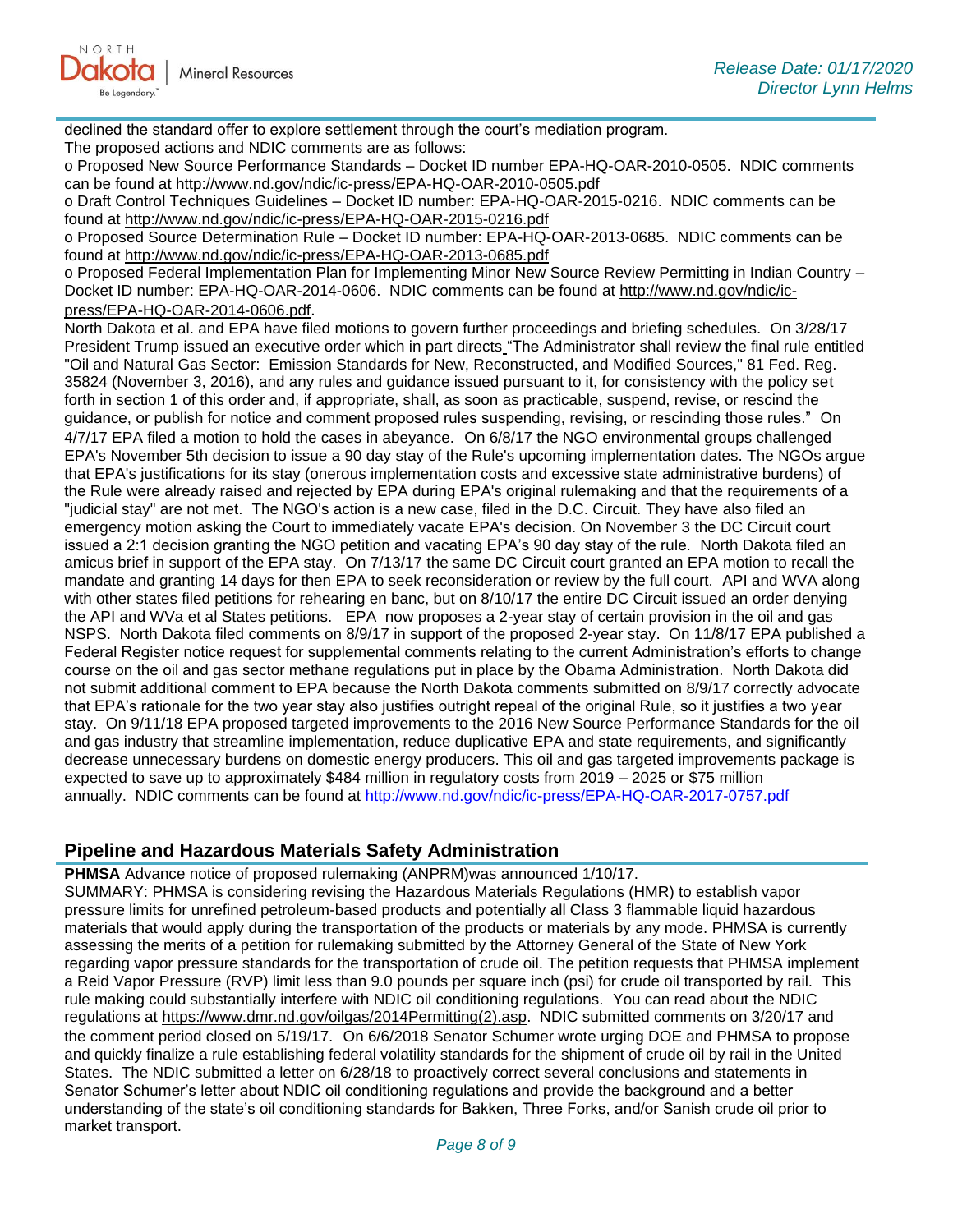declined the standard offer to explore settlement through the court's mediation program. The proposed actions and NDIC comments are as follows:

o Proposed New Source Performance Standards – Docket ID number EPA-HQ-OAR-2010-0505. NDIC comments can be found at<http://www.nd.gov/ndic/ic-press/EPA-HQ-OAR-2010-0505.pdf>

o Draft Control Techniques Guidelines – Docket ID number: EPA-HQ-OAR-2015-0216. NDIC comments can be found at<http://www.nd.gov/ndic/ic-press/EPA-HQ-OAR-2015-0216.pdf>

o Proposed Source Determination Rule – Docket ID number: EPA-HQ-OAR-2013-0685. NDIC comments can be found at<http://www.nd.gov/ndic/ic-press/EPA-HQ-OAR-2013-0685.pdf>

o Proposed Federal Implementation Plan for Implementing Minor New Source Review Permitting in Indian Country – Docket ID number: EPA-HQ-OAR-2014-0606. NDIC comments can be found at [http://www.nd.gov/ndic/ic](http://www.nd.gov/ndic/ic-press/EPA-HQ-OAR-2014-0606.pdf)[press/EPA-HQ-OAR-2014-0606.pdf](http://www.nd.gov/ndic/ic-press/EPA-HQ-OAR-2014-0606.pdf).

North Dakota et al. and EPA have filed motions to govern further proceedings and briefing schedules. On 3/28/17 President Trump issued an executive order which in part directs "The Administrator shall review the final rule entitled "Oil and Natural Gas Sector: Emission Standards for New, Reconstructed, and Modified Sources," 81 Fed. Reg. 35824 (November 3, 2016), and any rules and guidance issued pursuant to it, for consistency with the policy set forth in section 1 of this order and, if appropriate, shall, as soon as practicable, suspend, revise, or rescind the guidance, or publish for notice and comment proposed rules suspending, revising, or rescinding those rules." On 4/7/17 EPA filed a motion to hold the cases in abeyance. On 6/8/17 the NGO environmental groups challenged EPA's November 5th decision to issue a 90 day stay of the Rule's upcoming implementation dates. The NGOs argue that EPA's justifications for its stay (onerous implementation costs and excessive state administrative burdens) of the Rule were already raised and rejected by EPA during EPA's original rulemaking and that the requirements of a "judicial stay" are not met. The NGO's action is a new case, filed in the D.C. Circuit. They have also filed an emergency motion asking the Court to immediately vacate EPA's decision. On November 3 the DC Circuit court issued a 2:1 decision granting the NGO petition and vacating EPA's 90 day stay of the rule. North Dakota filed an amicus brief in support of the EPA stay. On 7/13/17 the same DC Circuit court granted an EPA motion to recall the mandate and granting 14 days for then EPA to seek reconsideration or review by the full court. API and WVA along with other states filed petitions for rehearing en banc, but on 8/10/17 the entire DC Circuit issued an order denying the API and WVa et al States petitions. EPA now proposes a 2-year stay of certain provision in the oil and gas NSPS. North Dakota filed comments on 8/9/17 in support of the proposed 2-year stay. On 11/8/17 EPA published a Federal Register notice request for supplemental comments relating to the current Administration's efforts to change course on the oil and gas sector methane regulations put in place by the Obama Administration. North Dakota did not submit additional comment to EPA because the North Dakota comments submitted on 8/9/17 correctly advocate that EPA's rationale for the two year stay also justifies outright repeal of the original Rule, so it justifies a two year stay. On 9/11/18 EPA proposed targeted improvements to the 2016 New Source Performance Standards for the oil and gas industry that streamline implementation, reduce duplicative EPA and state requirements, and significantly decrease unnecessary burdens on domestic energy producers. This oil and gas targeted improvements package is expected to save up to approximately \$484 million in regulatory costs from 2019 – 2025 or \$75 million annually. NDIC comments can be found at<http://www.nd.gov/ndic/ic-press/EPA-HQ-OAR-2017-0757.pdf>

# **Pipeline and Hazardous Materials Safety Administration**

**PHMSA** Advance notice of proposed rulemaking (ANPRM)was announced 1/10/17. SUMMARY: PHMSA is considering revising the Hazardous Materials Regulations (HMR) to establish vapor pressure limits for unrefined petroleum-based products and potentially all Class 3 flammable liquid hazardous materials that would apply during the transportation of the products or materials by any mode. PHMSA is currently assessing the merits of a petition for rulemaking submitted by the Attorney General of the State of New York regarding vapor pressure standards for the transportation of crude oil. The petition requests that PHMSA implement a Reid Vapor Pressure (RVP) limit less than 9.0 pounds per square inch (psi) for crude oil transported by rail. This rule making could substantially interfere with NDIC oil conditioning regulations. You can read about the NDIC regulations at [https://www.dmr.nd.gov/oilgas/2014Permitting\(2\).asp.](https://www.dmr.nd.gov/oilgas/2014Permitting(2).asp) NDIC submitted comments on 3/20/17 and the comment period closed on 5/19/17. On 6/6/2018 Senator Schumer wrote urging DOE and PHMSA to propose and quickly finalize a rule establishing federal volatility standards for the shipment of crude oil by rail in the United States. The NDIC submitted a letter on 6/28/18 to proactively correct several conclusions and statements in Senator Schumer's letter about NDIC oil conditioning regulations and provide the background and a better understanding of the state's oil conditioning standards for Bakken, Three Forks, and/or Sanish crude oil prior to market transport.